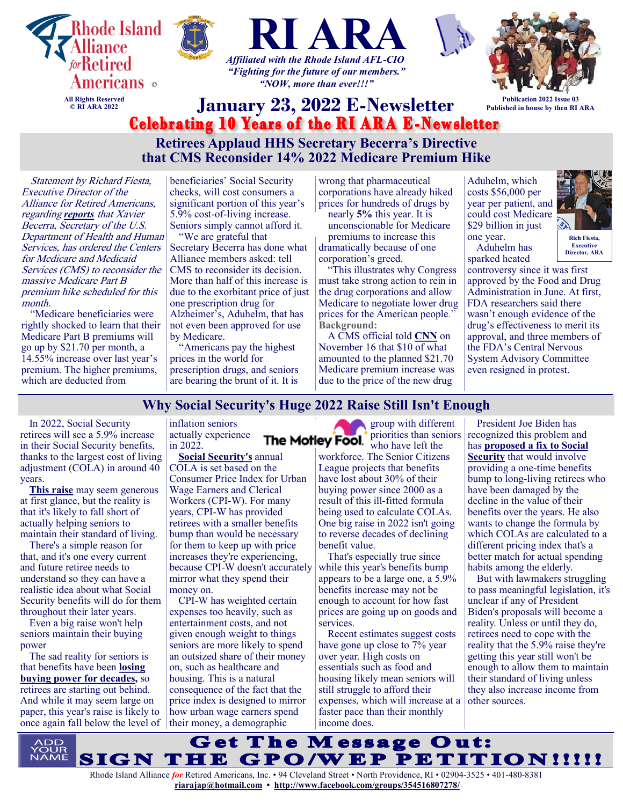

**that CMS Reconsider 14% 2022 Medicare Premium Hike**

Statement by Richard Fiesta, Executive Director of the Alliance for Retired Americans, regarding *[reports](https://www.statnews.com/2022/01/10/becerra-medicare-aduhelm-reconsider-price/)* that Xavier Becerra, Secretary of the U.S. Department of Health and Human Services, has ordered the Centers for Medicare and Medicaid Services (CMS) to reconsider the massive Medicare Part B premium hike scheduled for this month.

"Medicare beneficiaries were rightly shocked to learn that their Medicare Part B premiums will go up by \$21.70 per month, a 14.55% increase over last year's premium. The higher premiums, which are deducted from

beneficiaries' Social Security checks, will cost consumers a significant portion of this year's 5.9% cost-of-living increase. Seniors simply cannot afford it.

"We are grateful that Secretary Becerra has done what Alliance members asked: tell CMS to reconsider its decision. More than half of this increase is due to the exorbitant price of just one prescription drug for Alzheimer's, Aduhelm, that has not even been approved for use by Medicare.

"Americans pay the highest prices in the world for prescription drugs, and seniors are bearing the brunt of it. It is

wrong that pharmaceutical corporations have already hiked prices for hundreds of drugs by nearly **[5%](https://khn.org/morning-breakout/prices-jump-5-for-2022-on-more-than-450-prescription-drugs/)** this year. It is

unconscionable for Medicare premiums to increase this dramatically because of one corporation's greed.

"This illustrates why Congress must take strong action to rein in the drug corporations and allow Medicare to negotiate lower drug prices for the American people." **Background:**

A CMS official told **[CNN](https://www.cnn.com/2021/11/16/politics/aduhelm-alzheimer-medicare-increase/index.html)** on November 16 that \$10 of what amounted to the planned \$21.70 Medicare premium increase was due to the price of the new drug

Aduhelm, which costs \$56,000 per year per patient, and could cost Medicare \$29 billion in just one year.



**Rich Fiesta, Executive Director, ARA**

Aduhelm has sparked heated

controversy since it was first approved by the Food and Drug Administration in June. At first, FDA researchers said there wasn't enough evidence of the drug's effectiveness to merit its approval, and three members of the FDA's Central Nervous System Advisory Committee even resigned in protest.

## **Why Social Security's Huge 2022 Raise Still Isn't Enough**

In 2022, Social Security retirees will see a 5.9% increase in their Social Security benefits, thanks to the largest cost of living adjustment (COLA) in around 40 years.

**[This raise](https://www.fool.com/retirement/2022/01/07/social-security-benefits-get-a-59-raise-this-year/?utm_source=msnrss&utm_medium=feed&utm_campaign=article&referring_guid=85b33fb7-a435-40cc-b473-28ecbe97c2bb)** may seem generous at first glance, but the reality is that it's likely to fall short of actually helping seniors to maintain their standard of living.

There's a simple reason for that, and it's one every current and future retiree needs to understand so they can have a realistic idea about what Social Security benefits will do for them throughout their later years.

Even a big raise won't help seniors maintain their buying power

The sad reality for seniors is that benefits have been **[losing](https://www.fool.com/retirement/2020/07/15/social-security-benefits-have-lost-30-of-their-val.aspx?utm_source=msnrss&utm_medium=feed&utm_campaign=article&referring_guid=85b33fb7-a435-40cc-b473-28ecbe97c2bb)  [buying power for decades,](https://www.fool.com/retirement/2020/07/15/social-security-benefits-have-lost-30-of-their-val.aspx?utm_source=msnrss&utm_medium=feed&utm_campaign=article&referring_guid=85b33fb7-a435-40cc-b473-28ecbe97c2bb)** so retirees are starting out behind. And while it may seem large on paper, this year's raise is likely to once again fall below the level of

inflation seniors actually experience in 2022.

**[Social Security's](https://www.fool.com/retirement/social-security/?utm_source=msnrss&utm_medium=feed&utm_campaign=article&referring_guid=85b33fb7-a435-40cc-b473-28ecbe97c2bb)** annual COLA is set based on the Consumer Price Index for Urban Wage Earners and Clerical Workers (CPI-W). For many years, CPI-W has provided retirees with a smaller benefits bump than would be necessary for them to keep up with price increases they're experiencing, because CPI-W doesn't accurately mirror what they spend their money on.

CPI-W has weighted certain expenses too heavily, such as entertainment costs, and not given enough weight to things seniors are more likely to spend an outsized share of their money on, such as healthcare and housing. This is a natural consequence of the fact that the price index is designed to mirror how urban wage earners spend their money, a demographic

group with different priorities than seniors The Motley Fool. priorius uran sea

workforce. The Senior Citizens League projects that benefits have lost about 30% of their buying power since 2000 as a result of this ill-fitted formula being used to calculate COLAs. One big raise in 2022 isn't going to reverse decades of declining benefit value.

That's especially true since while this year's benefits bump appears to be a large one, a 5.9% benefits increase may not be enough to account for how fast prices are going up on goods and services.

Recent estimates suggest costs have gone up close to 7% year over year. High costs on essentials such as food and housing likely mean seniors will still struggle to afford their expenses, which will increase at a faster pace than their monthly income does.

President Joe Biden has recognized this problem and has **[proposed a fix to Social](https://www.fool.com/retirement/2020/08/16/4-social-security-changes-joe-biden-wants-to-make/?utm_source=msnrss&utm_medium=feed&utm_campaign=article&referring_guid=85b33fb7-a435-40cc-b473-28ecbe97c2bb)  [Security](https://www.fool.com/retirement/2020/08/16/4-social-security-changes-joe-biden-wants-to-make/?utm_source=msnrss&utm_medium=feed&utm_campaign=article&referring_guid=85b33fb7-a435-40cc-b473-28ecbe97c2bb)** that would involve providing a one-time benefits bump to long-living retirees who have been damaged by the decline in the value of their benefits over the years. He also wants to change the formula by which COLAs are calculated to a different pricing index that's a better match for actual spending habits among the elderly.

But with lawmakers struggling to pass meaningful legislation, it's unclear if any of President Biden's proposals will become a reality. Unless or until they do, retirees need to cope with the reality that the 5.9% raise they're getting this year still won't be enough to allow them to maintain their standard of living unless they also increase income from other sources.

**Get The Message Out:** IGN THE GPO/WEP PETITION!!!!!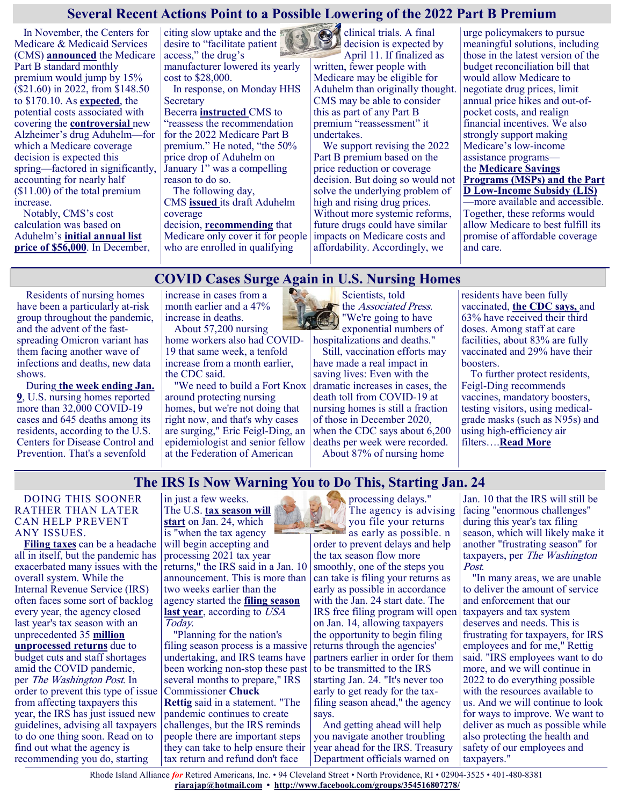## **Several Recent Actions Point to a Possible Lowering of the 2022 Part B Premium**

In November, the Centers for Medicare & Medicaid Services (CMS) **[announced](https://www.cms.gov/newsroom/press-releases/cms-announces-2022-medicare-part-b-premiums)** the Medicare Part B standard monthly premium would jump by 15% (\$21.60) in 2022, from \$148.50 to \$170.10. As **[expected](https://www.kff.org/medicare/issue-brief/fdas-approval-of-biogens-new-alzheimers-drug-has-huge-cost-implications-for-medicare-and-beneficiaries/)**, the potential costs associated with covering the **[controversial](https://www.npr.org/sections/health-shots/2021/11/08/1052833252/cost-and-controversy-are-limiting-use-of-new-alzheimers-drug)** new Alzheimer's drug Aduhelm—for which a Medicare coverage decision is expected this spring—factored in significantly, accounting for nearly half ([\\$11.00\)](https://www.finance.senate.gov/imo/media/doc/121021%20Letter%20to%20Sec%20Becerra%20re%20Medicare%20Part%20B%20Premiums.pdf) of the total premium increase.

Notably, CMS's cost calculation was based on Aduhelm's **[initial annual list](https://www.cnn.com/2021/07/20/politics/aduhelm-alzheimers-drug-cost-what-matters/index.html)**  [price of \\$56,000](https://www.cnn.com/2021/07/20/politics/aduhelm-alzheimers-drug-cost-what-matters/index.html). In December,

citing slow uptake and the desire to "facilitate patient access," the drug's manufacturer lowered its yearly cost to \$28,000.

In response, on Monday HHS **Secretary** 

Becerra **[instructed](https://www.hhs.gov/about/news/2022/01/10/hhs-secretary-xavier-becerra-instructs-cms-reassess-recommendation-2022-medicare-part-b-premium.html)** CMS to "reassess the recommendation for the 2022 Medicare Part B premium." He noted, "the 50% price drop of Aduhelm on January 1" was a compelling reason to do so.

The following day, CMS **[issued](https://www.cms.gov/newsroom/press-releases/cms-proposes-medicare-coverage-policy-monoclonal-antibodies-directed-against-amyloid-treatment)** its draft Aduhelm coverage

decision, **[recommending](https://www.cms.gov/medicare-coverage-database/view/ncacal-decision-memo.aspx?proposed=Y&NCAId=305)** that Medicare only cover it for people who are enrolled in qualifying

clinical trials. A final decision is expected by April 11. If finalized as written, fewer people with

Medicare may be eligible for Aduhelm than originally thought. CMS may be able to consider this as part of any Part B premium "reassessment" it undertakes.

We support revising the 2022 Part B premium based on the price reduction or coverage decision. But doing so would not solve the underlying problem of high and rising drug prices. Without more systemic reforms, future drugs could have similar impacts on Medicare costs and affordability. Accordingly, we

urge policymakers to pursue meaningful solutions, including those in the latest version of the budget reconciliation bill that would allow Medicare to negotiate drug prices, limit annual price hikes and out-ofpocket costs, and realign financial incentives. We also strongly support making Medicare's low-income assistance programs the **[Medicare Savings](https://www.medicareinteractive.org/get-answers/cost-saving-programs-for-people-with-medicare/medicare-savings-programs-qmb-slmb-qi/medicare-savings-program-basics)  [Programs \(MSPs\)](https://www.medicareinteractive.org/get-answers/cost-saving-programs-for-people-with-medicare/medicare-savings-programs-qmb-slmb-qi/medicare-savings-program-basics) and the Part D Low-[Income Subsidy \(LIS\)](https://www.medicareinteractive.org/get-answers/cost-saving-programs-for-people-with-medicare/the-extra-helplow-income-subsidy-lis-program/extra-help-basics)** —more available and accessible. Together, these reforms would allow Medicare to best fulfill its promise of affordable coverage

## **COVID Cases Surge Again in U.S. Nursing Homes**

Residents of nursing homes have been a particularly at-risk group throughout the pandemic, and the advent of the fastspreading Omicron variant has them facing another wave of infections and deaths, new data shows.

During **[the week ending Jan.](https://www.cdc.gov/nhsn/covid19/ltc-report-overview.html#anchor_1610478795495)  [9](https://www.cdc.gov/nhsn/covid19/ltc-report-overview.html#anchor_1610478795495)**, U.S. nursing homes reported more than 32,000 COVID-19 cases and 645 deaths among its residents, according to the U.S. Centers for Disease Control and Prevention. That's a sevenfold

increase in cases from a month earlier and a 47% increase in deaths.

About 57,200 nursing home workers also had COVID-19 that same week, a tenfold increase from a month earlier, the CDC said.

"We need to build a Fort Knox around protecting nursing homes, but we're not doing that right now, and that's why cases are surging," Eric Feigl-Ding, an epidemiologist and senior fellow at the Federation of American



Scientists, told the Associated Press. "We're going to have exponential numbers of hospitalizations and deaths."

Still, vaccination efforts may have made a real impact in saving lives: Even with the dramatic increases in cases, the death toll from COVID-19 at nursing homes is still a fraction of those in December 2020, when the CDC says about 6,200 deaths per week were recorded. About 87% of nursing home

residents have been fully vaccinated, **[the CDC says,](https://www.cdc.gov/nhsn/covid19/ltc-vaccination-dashboard.html)** and 63% have received their third doses. Among staff at care facilities, about 83% are fully vaccinated and 29% have their boosters.

and care.

To further protect residents, Feigl-Ding recommends vaccines, mandatory boosters, testing visitors, using medicalgrade masks (such as N95s) and using high-efficiency air filters….**[Read More](https://www.usnews.com/news/health-news/articles/2022-01-17/covid-cases-surge-again-in-u-s-nursing-homes)**

## **The IRS Is Now Warning You to Do This, Starting Jan. 24**

#### DOING THIS SOONER RATHER THAN LATER CAN HELP PREVENT ANY ISSUES.

**[Filing taxes](https://bestlifeonline.com/irs-money-back-tax-return-news/)** can be a headache all in itself, but the pandemic has exacerbated many issues with the overall system. While the Internal Revenue Service (IRS) often faces some sort of backlog every year, the agency closed last year's tax season with an unprecedented 35 **[million](https://www.washingtonpost.com/us-policy/2022/01/10/treasury-irs-filing-season/)  [unprocessed returns](https://www.washingtonpost.com/us-policy/2022/01/10/treasury-irs-filing-season/)** due to budget cuts and staff shortages amid the COVID pandemic, per The Washington Post. In order to prevent this type of issue from affecting taxpayers this year, the IRS has just issued new guidelines, advising all taxpayers to do one thing soon. Read on to

find out what the agency is recommending you do, starting

in just a few weeks. The U.S. **[tax season will](https://www.irs.gov/newsroom/2022-tax-filing-season-begins-jan-24-irs-outlines-refund-timing-and-what-to-expect-in-advance-of-april-18-tax-deadline)  [start](https://www.irs.gov/newsroom/2022-tax-filing-season-begins-jan-24-irs-outlines-refund-timing-and-what-to-expect-in-advance-of-april-18-tax-deadline)** on Jan. 24, which is "when the tax agency will begin accepting and processing 2021 tax year returns," the IRS said in a Jan. 10 announcement. This is more than two weeks earlier than the agency started the **[filing season](https://www.usatoday.com/story/money/taxes/2022/01/10/irs-allowing-you-to-file-taxes-starting-jan-24/9163934002/)  [last year](https://www.usatoday.com/story/money/taxes/2022/01/10/irs-allowing-you-to-file-taxes-starting-jan-24/9163934002/)**, according to USA Today.

"Planning for the nation's filing season process is a massive undertaking, and IRS teams have been working non-stop these past several months to prepare," IRS Commissioner **Chuck Rettig** said in a statement. "The pandemic continues to create challenges, but the IRS reminds people there are important steps they can take to help ensure their tax return and refund don't face

processing delays." The agency is advising you file your returns as early as possible. n order to prevent delays and help

the tax season flow more smoothly, one of the steps you can take is filing your returns as early as possible in accordance with the Jan. 24 start date. The IRS free filing program will open on Jan. 14, allowing taxpayers the opportunity to begin filing returns through the agencies' partners earlier in order for them to be transmitted to the IRS starting Jan. 24. "It's never too early to get ready for the taxfiling season ahead," the agency says.

And getting ahead will help you navigate another troubling year ahead for the IRS. Treasury Department officials warned on

Jan. 10 that the IRS will still be facing "enormous challenges" during this year's tax filing season, which will likely make it another "frustrating season" for taxpayers, per The Washington Post.

"In many areas, we are unable to deliver the amount of service and enforcement that our taxpayers and tax system deserves and needs. This is frustrating for taxpayers, for IRS employees and for me," Rettig said. "IRS employees want to do more, and we will continue in 2022 to do everything possible with the resources available to us. And we will continue to look for ways to improve. We want to deliver as much as possible while also protecting the health and safety of our employees and taxpayers."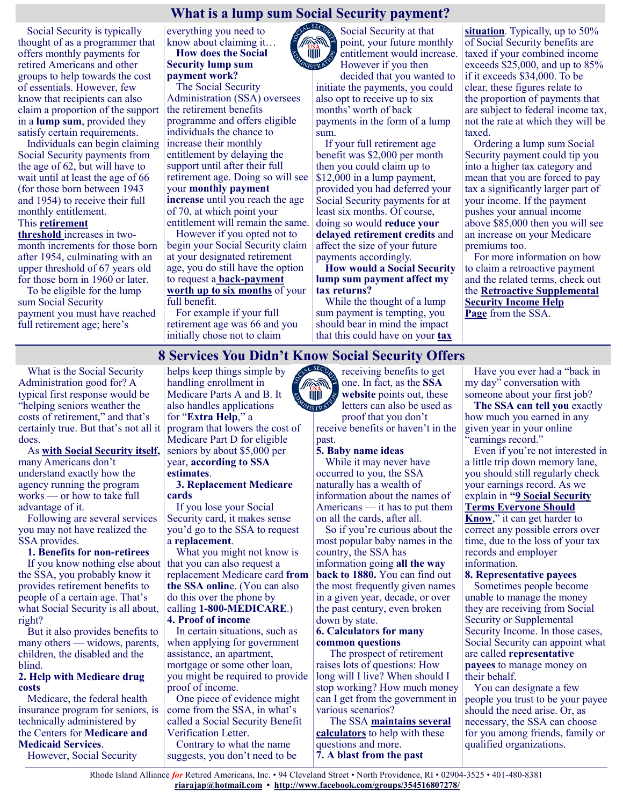# **What is a lump sum Social Security payment?**<br>Social Security at that

Social Security is typically thought of as a programmer that offers monthly payments for retired Americans and other groups to help towards the cost of essentials. However, few know that recipients can also claim a proportion of the support in a **lump sum**, provided they satisfy certain requirements.

Individuals can begin claiming Social Security payments from the age of 62, but will have to wait until at least the age of 66 (for those born between 1943 and 1954) to receive their full monthly entitlement.

#### This **[retirement](https://www.ssa.gov/benefits/retirement/estimator.html)**

**[threshold](https://www.ssa.gov/benefits/retirement/estimator.html)** increases in twomonth increments for those born after 1954, culminating with an upper threshold of 67 years old for those born in 1960 or later.

To be eligible for the lump sum Social Security payment you must have reached full retirement age; here's

everything you need to know about claiming it… **How does the Social** 

**Security lump sum payment work?**

The Social Security Administration (SSA) oversees the retirement benefits programme and offers eligible individuals the chance to increase their monthly entitlement by delaying the support until after their full retirement age. Doing so will see your **monthly payment increase** until you reach the age of 70, at which point your entitlement will remain the same.

However if you opted not to begin your Social Security claim at your designated retirement age, you do still have the option to request a **back-[payment](https://www.thegazette.com/art/social-security-offers-lump-sum-payouts-to-retirees/)  [worth up to six months](https://www.thegazette.com/art/social-security-offers-lump-sum-payouts-to-retirees/)** of your full benefit.

For example if your full retirement age was 66 and you initially chose not to claim

Social Security at that point, your future monthly entitlement would increase. However if you then

decided that you wanted to initiate the payments, you could also opt to receive up to six months' worth of back payments in the form of a lump sum.

If your full retirement age benefit was \$2,000 per month then you could claim up to \$12,000 in a lump payment, provided you had deferred your Social Security payments for at least six months. Of course, doing so would **reduce your delayed retirement credits** and affect the size of your future payments accordingly.

**How would a Social Security lump sum payment affect my tax returns?**

While the thought of a lump sum payment is tempting, you should bear in mind the impact that this could have on your **[tax](https://www.irs.gov/faqs/social-security-income/back-payments/back-payments)**  **[situation](https://www.irs.gov/faqs/social-security-income/back-payments/back-payments)**. Typically, up to 50% of Social Security benefits are taxed if your combined income exceeds \$25,000, and up to 85% if it exceeds \$34,000. To be clear, these figures relate to the proportion of payments that are subject to federal income tax, not the rate at which they will be taxed.

Ordering a lump sum Social Security payment could tip you into a higher tax category and mean that you are forced to pay tax a significantly larger part of your income. If the payment pushes your annual income above \$85,000 then you will see an increase on your Medicare premiums too.

For more information on how to claim a retroactive payment and the related terms, check out the **[Retroactive Supplemental](https://secure.ssa.gov/poms.nsf/lnx/0501130600)  [Security Income Help](https://secure.ssa.gov/poms.nsf/lnx/0501130600)  [Page](https://secure.ssa.gov/poms.nsf/lnx/0501130600)** from the SSA.

# **8 Services You Didn't Know Social Security Offers**<br>Thelps keep things simple by **the Social Security Offers**

**TITTII** 

What is the Social Security Administration good for? A typical first response would be "helping seniors weather the costs of retirement," and that's certainly true. But that's not all it does.

As **[with Social Security itself,](https://www.moneytalksnews.com/slideshows/what-many-americans-get-wrong-about-social-security/)** many Americans don't understand exactly how the agency running the program works — or how to take full advantage of it.

Following are several services you may not have realized the SSA provides.

#### **1. Benefits for non-retirees**

If you know nothing else about the SSA, you probably know it provides retirement benefits to people of a certain age. That's what Social Security is all about, right?

But it also provides benefits to many others — widows, parents, children, the disabled and the blind.

#### **2. Help with Medicare drug costs**

Medicare, the federal health insurance program for seniors, is technically administered by the Centers for **[Medicare and](https://www.cms.gov/Medicare/Medicare)  [Medicaid Services](https://www.cms.gov/Medicare/Medicare)**.

However, Social Security

helps keep things simple by handling enrollment in Medicare Parts A and B. It also handles applications for "**[Extra Help](https://www.medicare.gov/your-medicare-costs/get-help-paying-costs/lower-prescription-costs)**," a program that lowers the cost of Medicare Part D for eligible seniors by about \$5,000 per year, **[according to SSA](https://www.ssa.gov/benefits/medicare/prescriptionhelp.html)  [estimates](https://www.ssa.gov/benefits/medicare/prescriptionhelp.html)**.

#### **3. Replacement Medicare cards**

If you lose your Social Security card, it makes sense you'd go to the SSA to request a **[replacement](https://www.ssa.gov/myaccount/replacement-card.html)**.

What you might not know is that you can also request a replacement Medicare card **[from](https://faq.ssa.gov/en-us/Topic/article/KA-01735)  [the SSA onlin](https://faq.ssa.gov/en-us/Topic/article/KA-01735)**e. (You can also do this over the phone by calling **1-800-[MEDICARE](https://www.medicare.gov/basics/get-started-with-medicare/using-medicare/your-medicare-card)**.) **4. Proof of income**

In certain situations, such as when applying for government assistance, an apartment, mortgage or some other loan, you might be required to provide proof of income.

One piece of evidence might come from the SSA, in what's called a Social Security Benefit Verification Letter.

Contrary to what the name suggests, you don't need to be receiving benefits to get one. In fact, as the **[SSA](https://www.ssa.gov/myaccount/proof-of-benefits.html)  [website](https://www.ssa.gov/myaccount/proof-of-benefits.html)** points out, these letters can also be used as proof that you don't

receive benefits or haven't in the past.

#### **5. Baby name ideas**

While it may never have occurred to you, the SSA naturally has a wealth of information about the names of Americans — it has to put them on all the cards, after all.

So if you're curious about the most popular baby names in the country, the SSA has information going **[all the way](https://www.ssa.gov/oact/babynames/index.html)  [back to 1880.](https://www.ssa.gov/oact/babynames/index.html)** You can find out the most frequently given names in a given year, decade, or over the past century, even broken down by state.

#### **6. Calculators for many common questions**

The prospect of retirement raises lots of questions: How long will I live? When should I stop working? How much money can I get from the government in various scenarios?

The SSA **[maintains several](https://www.ssa.gov/benefits/calculators/)  [calculators](https://www.ssa.gov/benefits/calculators/)** to help with these questions and more. **7. A blast from the past**

Have you ever had a "back in my day" conversation with someone about your first job?

**[The SSA can tell you](https://blog.ssa.gov/what-did-you-earn-at-your-first-job-social-security-can-tell-you/)** exactly how much you earned in any given year in your online "earnings record."

Even if you're not interested in a little trip down memory lane, you should still regularly check your earnings record. As we explain in **"[9 Social Security](https://www.moneytalksnews.com/social-security-terms/#2-earnings-record)  [Terms Everyone Should](https://www.moneytalksnews.com/social-security-terms/#2-earnings-record)** 

**[Know](https://www.moneytalksnews.com/social-security-terms/#2-earnings-record)**," it can get harder to correct any possible errors over time, due to the loss of your tax records and employer

information.

### **8. Representative payees**

Sometimes people become unable to manage the money they are receiving from Social Security or Supplemental Security Income. In those cases, Social Security can appoint what are called **[representative](https://www.ssa.gov/payee/index.htm)  [payees](https://www.ssa.gov/payee/index.htm)** to manage money on their behalf.

You can designate a few people you trust to be your payee should the need arise. Or, as necessary, the SSA can choose for you among friends, family or qualified organizations.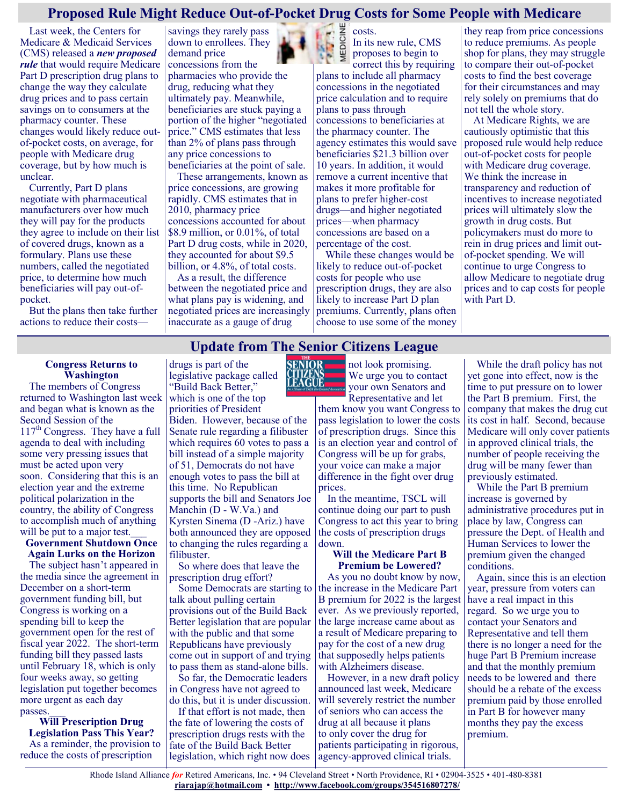## **Proposed Rule Might Reduce Out-of-Pocket Drug Costs for Some People with Medicare**

Last week, the Centers for Medicare & Medicaid Services (CMS) released a *[new proposed](https://www.federalregister.gov/documents/2022/01/12/2022-00117/medicare-program-contract-year-2023-policy-and-technical-changes-to-the-medicare-advantage-and)  [rule](https://www.federalregister.gov/documents/2022/01/12/2022-00117/medicare-program-contract-year-2023-policy-and-technical-changes-to-the-medicare-advantage-and)* that would require Medicare Part D prescription drug plans to change the way they calculate drug prices and to pass certain savings on to consumers at the pharmacy counter. These changes would likely reduce outof-pocket costs, on average, for people with Medicare drug coverage, but by how much is unclear.

Currently, Part D plans negotiate with pharmaceutical manufacturers over how much they will pay for the products they agree to include on their list of covered drugs, known as a formulary. Plans use these numbers, called the negotiated price, to determine how much beneficiaries will pay out-ofpocket.

But the plans then take further actions to reduce their costs—

savings they rarely pass down to enrollees. They demand price concessions from the

pharmacies who provide the drug, reducing what they ultimately pay. Meanwhile, beneficiaries are stuck paying a portion of the higher "negotiated price." CMS estimates that less than 2% of plans pass through any price concessions to beneficiaries at the point of sale.

These arrangements, known as price concessions, are growing rapidly. CMS estimates that in 2010, pharmacy price concessions accounted for about \$8.9 million, or 0.01%, of total Part D drug costs, while in 2020, they accounted for about \$9.5 billion, or 4.8%, of total costs.

As a result, the difference between the negotiated price and what plans pay is widening, and negotiated prices are increasingly inaccurate as a gauge of drug



MEDICINE costs. In its new rule, CMS proposes to begin to

correct this by requiring plans to include all pharmacy concessions in the negotiated price calculation and to require plans to pass through concessions to beneficiaries at the pharmacy counter. The agency estimates this would save beneficiaries \$21.3 billion over 10 years. In addition, it would remove a current incentive that makes it more profitable for plans to prefer higher-cost drugs—and higher negotiated prices—when pharmacy concessions are based on a percentage of the cost.

While these changes would be likely to reduce out-of-pocket costs for people who use prescription drugs, they are also likely to increase Part D plan premiums. Currently, plans often choose to use some of the money they reap from price concessions to reduce premiums. As people shop for plans, they may struggle to compare their out-of-pocket costs to find the best coverage for their circumstances and may rely solely on premiums that do not tell the whole story.

At Medicare Rights, we are cautiously optimistic that this proposed rule would help reduce out-of-pocket costs for people with Medicare drug coverage. We think the increase in transparency and reduction of incentives to increase negotiated prices will ultimately slow the growth in drug costs. But policymakers must do more to rein in drug prices and limit outof-pocket spending. We will continue to urge Congress to allow Medicare to negotiate drug prices and to cap costs for people with Part D.

## **Update from The Senior Citizens League**

#### **Congress Returns to Washington**

The members of Congress returned to Washington last week and began what is known as the Second Session of the 117<sup>th</sup> Congress. They have a full agenda to deal with including some very pressing issues that must be acted upon very soon. Considering that this is an election year and the extreme political polarization in the country, the ability of Congress to accomplish much of anything will be put to a major test.

#### **Government Shutdown Once Again Lurks on the Horizon**

The subject hasn't appeared in the media since the agreement in December on a short-term government funding bill, but Congress is working on a spending bill to keep the government open for the rest of fiscal year 2022. The short-term funding bill they passed lasts until February 18, which is only four weeks away, so getting legislation put together becomes more urgent as each day passes

**Will Prescription Drug Legislation Pass This Year?** As a reminder, the provision to reduce the costs of prescription

drugs is part of the legislative package called "Build Back Better," which is one of the top priorities of President

Biden. However, because of the Senate rule regarding a filibuster which requires 60 votes to pass a bill instead of a simple majority of 51, Democrats do not have enough votes to pass the bill at this time. No Republican supports the bill and Senators Joe Manchin (D - W.Va.) and Kyrsten Sinema (D -Ariz.) have both announced they are opposed to changing the rules regarding a filibuster.

So where does that leave the prescription drug effort?

talk about pulling certain provisions out of the Build Back Better legislation that are popular with the public and that some Republicans have previously come out in support of and trying to pass them as stand-alone bills.

So far, the Democratic leaders in Congress have not agreed to do this, but it is under discussion.

If that effort is not made, then the fate of lowering the costs of prescription drugs rests with the fate of the Build Back Better legislation, which right now does



not look promising. We urge you to contact your own Senators and Representative and let

them know you want Congress to pass legislation to lower the costs of prescription drugs. Since this is an election year and control of Congress will be up for grabs, your voice can make a major difference in the fight over drug prices.

In the meantime, TSCL will continue doing our part to push Congress to act this year to bring the costs of prescription drugs down.

#### **Will the Medicare Part B Premium be Lowered?**

Some Democrats are starting to the increase in the Medicare Part As you no doubt know by now, B premium for 2022 is the largest ever. As we previously reported, the large increase came about as a result of Medicare preparing to pay for the cost of a new drug that supposedly helps patients with Alzheimers disease.

However, in a new draft policy announced last week, Medicare will severely restrict the number of seniors who can access the drug at all because it plans to only cover the drug for patients participating in rigorous, agency-approved clinical trials.

While the draft policy has not yet gone into effect, now is the time to put pressure on to lower the Part B premium. First, the company that makes the drug cut its cost in half. Second, because Medicare will only cover patients in approved clinical trials, the number of people receiving the drug will be many fewer than previously estimated.

While the Part B premium increase is governed by administrative procedures put in place by law, Congress can pressure the Dept. of Health and Human Services to lower the premium given the changed conditions.

Again, since this is an election year, pressure from voters can have a real impact in this regard. So we urge you to contact your Senators and Representative and tell them there is no longer a need for the huge Part B Premium increase and that the monthly premium needs to be lowered and there should be a rebate of the excess premium paid by those enrolled in Part B for however many months they pay the excess premium.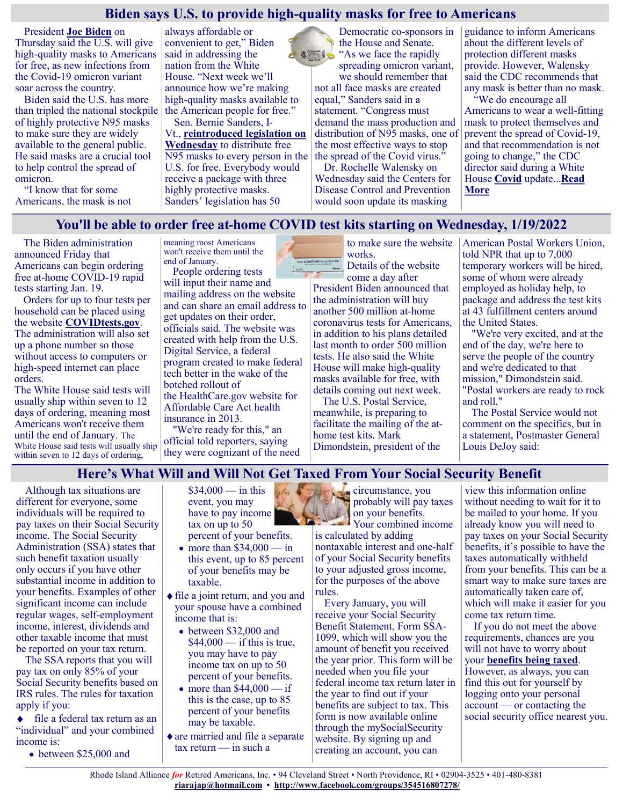## **Biden says U.S. to provide high-quality masks for free to Americans**

President **[Joe Biden](https://www.cnbc.com/joe-biden/)** on Thursday said the U.S. will give high-quality masks to Americans for free, as new infections from the Covid-19 omicron variant soar across the country.

Biden said the U.S. has more than tripled the national stockpile of highly protective N95 masks to make sure they are widely available to the general public. He said masks are a crucial tool to help control the spread of omicron.

"I know that for some Americans, the mask is not

always affordable or convenient to get," Biden said in addressing the nation from the White House. "Next week we'll announce how we're making high-quality masks available to the American people for free."

Sen. Bernie Sanders, I-Vt., **[reintroduced legislation on](https://www.sanders.senate.gov/press-releases/news-sanders-reintroduces-legislation-to-give-every-american-lifesaving-n95-masks/)  [Wednesday](https://www.sanders.senate.gov/press-releases/news-sanders-reintroduces-legislation-to-give-every-american-lifesaving-n95-masks/)** to distribute free N95 masks to every person in the U.S. for free. Everybody would receive a package with three highly protective masks. Sanders' legislation has 50

Democratic co-sponsors in the House and Senate. "As we face the rapidly spreading omicron variant, we should remember that not all face masks are created equal," Sanders said in a statement. "Congress must demand the mass production and distribution of N95 masks, one of the most effective ways to stop the spread of the Covid virus."

Dr. Rochelle Walensky on Wednesday said the Centers for Disease Control and Prevention would soon update its masking

guidance to inform Americans about the different levels of protection different masks provide. However, Walensky said the CDC recommends that any mask is better than no mask.

"We do encourage all Americans to wear a well-fitting mask to protect themselves and prevent the spread of Covid-19, and that recommendation is not going to change," the CDC director said during a White House **[Covid](https://www.cnbc.com/coronavirus/)** update...**[Read](https://www.cnbc.com/2022/01/13/biden-says-us-to-provide-high-quality-masks-for-free-to-americans.html)  [More](https://www.cnbc.com/2022/01/13/biden-says-us-to-provide-high-quality-masks-for-free-to-americans.html)**

## **You'll be able to order free at-home COVID test kits starting on Wednesday, 1/19/2022**

The Biden administration announced Friday that Americans can begin ordering free at-home COVID-19 rapid tests starting Jan. 19.

Orders for up to four tests per household can be placed using the website **[COVIDtests.gov](https://www.covidtests.gov/)**. The administration will also set up a phone number so those without access to computers or high-speed internet can place orders.

The White House said tests will usually ship within seven to 12 days of ordering, meaning most Americans won't receive them until the end of January. The White House said tests will usually ship within seven to 12 days of ordering,

meaning most Americans won't receive them until the end of January.

People ordering tests will input their name and mailing address on the website and can share an email address to get updates on their order, officials said. The website was created with help from the U.S. Digital Service, a federal program created to make federal tech better in the wake of the botched rollout of the [HealthCare.gov](http://healthcare.gov/) website for

Affordable Care Act health insurance in 2013. "We're ready for this," an

official told reporters, saying they were cognizant of the need

to make sure the website works. Your COVID-19 Home Test Kit Details of the website

come a day after President Biden announced that the administration will buy another 500 million at-home coronavirus tests for Americans, in addition to his plans detailed [last month](https://www.npr.org/2021/12/21/1066167265/biden-to-announce-free-covid-tests-more-aid-for-hospitals-to-deal-with-omicron) to order 500 million tests. He also said the White House will make high-quality masks available for free, with details coming out next week.

The U.S. Postal Service, meanwhile, is preparing to facilitate the mailing of the athome test kits. Mark Dimondstein, president of the

American Postal Workers Union, told NPR that up to 7,000 temporary workers will be hired, some of whom were already employed as holiday help, to package and address the test kits at 43 fulfillment centers around the United States.

"We're very excited, and at the end of the day, we're here to serve the people of the country and we're dedicated to that mission," Dimondstein said. "Postal workers are ready to rock and roll."

The Postal Service would not comment on the specifics, but in a statement, Postmaster General Louis DeJoy said:

# **Here's What Will and Will Not Get Taxed From Your Social Security Benefit**

Although tax situations are different for everyone, some individuals will be required to pay taxes on their Social Security income. The Social Security Administration (SSA) states that such benefit taxation usually only occurs if you have other substantial income in addition to your benefits. Examples of other significant income can include regular wages, self-employment income, interest, dividends and other taxable income that must be reported on your tax return.

The SSA reports that you will pay tax on only 85% of your Social Security benefits based on IRS rules. The rules for taxation apply if you:

file a federal tax return as an "individual" and your combined income is:

between \$25,000 and

 $$34,000 - in this$ event, you may have to pay income tax on up to 50

- percent of your benefits. • more than  $$34,000$  — in this event, up to 85 percent of your benefits may be taxable.
- file a joint return, and you and your spouse have a combined income that is:
	- between \$32,000 and  $$44,000$  — if this is true, you may have to pay income tax on up to 50 percent of your benefits.
	- more than  $$44,000$  if this is the case, up to 85 percent of your benefits may be taxable.
- are married and file a separate tax return — in such a



circumstance, you probably will pay taxes on your benefits. Your combined income

is calculated by adding nontaxable interest and one-half of your Social Security benefits to your adjusted gross income, for the purposes of the above rules.

Every January, you will receive your Social Security Benefit Statement, Form SSA-1099, which will show you the amount of benefit you received the year prior. This form will be needed when you file your federal income tax return later in the year to find out if your benefits are subject to tax. This form is now available online through the mySocialSecurity website. By signing up and creating an account, you can

view this information online without needing to wait for it to be mailed to your home. If you already know you will need to pay taxes on your Social Security benefits, it's possible to have the taxes automatically withheld from your benefits. This can be a smart way to make sure taxes are automatically taken care of, which will make it easier for you come tax return time.

If you do not meet the above requirements, chances are you will not have to worry about your **[benefits being](https://www.gobankingrates.com/retirement/social-security/calculate-social-security-tax-rate/?utm_campaign=1153642&utm_source=msn.com&utm_content=8&utm_medium=rss) taxed**. However, as always, you can

find this out for yourself by logging onto your personal account — or contacting the social security office nearest you.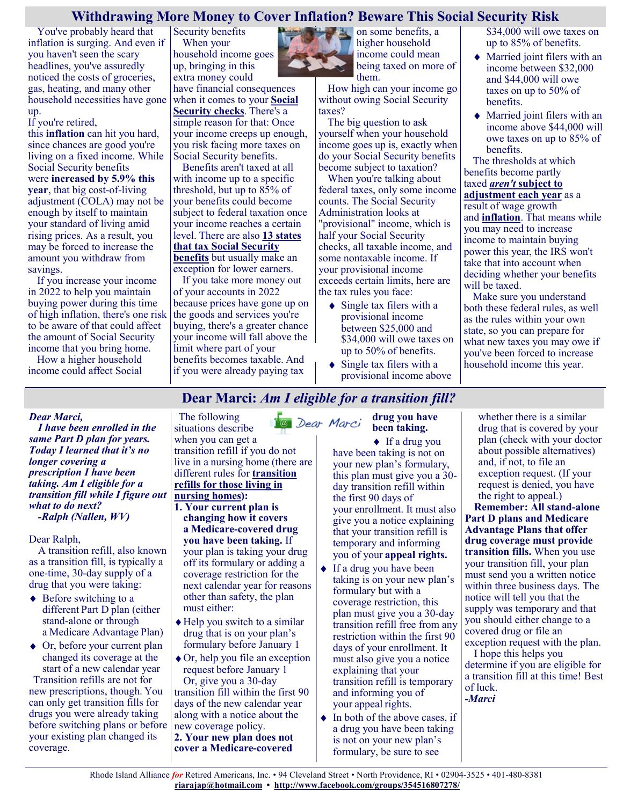## **Withdrawing More Money to Cover Inflation? Beware This Social Security Risk**

You've probably heard that inflation is surging. And even if you haven't seen the scary headlines, you've assuredly noticed the costs of groceries, gas, heating, and many other household necessities have gone up.

If you're retired,

this **[inflation](https://www.fool.com/investing/2021/12/21/where-to-invest-if-youre-worried-about-inflation/?utm_source=msnrss&utm_medium=feed&utm_campaign=article&referring_guid=612efbc2-59c5-4c15-b1b5-fe25f7164ca5)** can hit you hard, since chances are good you're living on a fixed income. While Social Security benefits were **[increased by 5.9% this](https://www.fool.com/retirement/2022/01/07/social-security-benefits-get-a-59-raise-this-year/?utm_source=msnrss&utm_medium=feed&utm_campaign=article&referring_guid=612efbc2-59c5-4c15-b1b5-fe25f7164ca5)  [year](https://www.fool.com/retirement/2022/01/07/social-security-benefits-get-a-59-raise-this-year/?utm_source=msnrss&utm_medium=feed&utm_campaign=article&referring_guid=612efbc2-59c5-4c15-b1b5-fe25f7164ca5)**, that big cost-of-living adjustment (COLA) may not be enough by itself to maintain your standard of living amid rising prices. As a result, you may be forced to increase the amount you withdraw from savings.

If you increase your income in 2022 to help you maintain buying power during this time of high inflation, there's one risk to be aware of that could affect the amount of Social Security income that you bring home.

How a higher household income could affect Social

Security benefits When your household income goes up, bringing in this extra money could

have financial consequences when it comes to your **[Social](https://www.fool.com/retirement/social-security/?utm_source=msnrss&utm_medium=feed&utm_campaign=article&referring_guid=612efbc2-59c5-4c15-b1b5-fe25f7164ca5)  [Security checks](https://www.fool.com/retirement/social-security/?utm_source=msnrss&utm_medium=feed&utm_campaign=article&referring_guid=612efbc2-59c5-4c15-b1b5-fe25f7164ca5)**. There's a simple reason for that: Once your income creeps up enough, you risk facing more taxes on Social Security benefits.

Benefits aren't taxed at all with income up to a specific threshold, but up to 85% of your benefits could become subject to federal taxation once your income reaches a certain level. There are also **[13 states](https://www.fool.com/investing/2021/12/01/different-social-security-rules-in-13-states/?utm_source=msnrss&utm_medium=feed&utm_campaign=article&referring_guid=612efbc2-59c5-4c15-b1b5-fe25f7164ca5)  [that tax Social Security](https://www.fool.com/investing/2021/12/01/different-social-security-rules-in-13-states/?utm_source=msnrss&utm_medium=feed&utm_campaign=article&referring_guid=612efbc2-59c5-4c15-b1b5-fe25f7164ca5)  [benefits](https://www.fool.com/investing/2021/12/01/different-social-security-rules-in-13-states/?utm_source=msnrss&utm_medium=feed&utm_campaign=article&referring_guid=612efbc2-59c5-4c15-b1b5-fe25f7164ca5)** but usually make an

exception for lower earners. If you take more money out

of your accounts in 2022 because prices have gone up on the goods and services you're buying, there's a greater chance your income will fall above the limit where part of your benefits becomes taxable. And if you were already paying tax



**Dear Marci:** *Am I eligible for a transition fill?* 

**A** on some benefits, a higher household income could mean being taxed on more of them.

How high can your income go without owing Social Security taxes?

The big question to ask yourself when your household income goes up is, exactly when do your Social Security benefits become subject to taxation?

When you're talking about federal taxes, only some income counts. The Social Security Administration looks at "provisional" income, which is half your Social Security checks, all taxable income, and some nontaxable income. If your provisional income exceeds certain limits, here are the tax rules you face:

- $\triangleleft$  Single tax filers with a provisional income between \$25,000 and \$34,000 will owe taxes on up to 50% of benefits.
- Single tax filers with a provisional income above

\$34,000 will owe taxes on up to 85% of benefits.

- Married joint filers with an income between \$32,000 and \$44,000 will owe taxes on up to 50% of benefits.
- Married joint filers with an income above \$44,000 will owe taxes on up to 85% of benefits.

The thresholds at which benefits become partly taxed *aren't* **[subject to](https://www.fool.com/investing/2021/12/14/this-social-security-rule-could-cost-you/?utm_source=msnrss&utm_medium=feed&utm_campaign=article&referring_guid=612efbc2-59c5-4c15-b1b5-fe25f7164ca5)** 

**[adjustment each year](https://www.fool.com/investing/2021/12/14/this-social-security-rule-could-cost-you/?utm_source=msnrss&utm_medium=feed&utm_campaign=article&referring_guid=612efbc2-59c5-4c15-b1b5-fe25f7164ca5)** as a result of wage growth and **[inflation](https://www.fool.com/investing/how-to-invest/inflation/?utm_source=msnrss&utm_medium=feed&utm_campaign=article&referring_guid=612efbc2-59c5-4c15-b1b5-fe25f7164ca5)**. That means while you may need to increase income to maintain buying power this year, the IRS won't take that into account when deciding whether your benefits will be taxed.

Make sure you understand both these federal rules, as well as the rules within your own state, so you can prepare for what new taxes you may owe if you've been forced to increase household income this year.

### *Dear Marci,*

*I have been enrolled in the same Part D plan for years. Today I learned that it's no longer covering a prescription I have been taking. Am I eligible for a transition fill while I figure out what to do next? -Ralph (Nallen, WV)*

Dear Ralph,

A transition refill, also known as a transition fill, is typically a one-time, 30-day supply of a drug that you were taking:

- $\triangle$  Before switching to a different Part D plan (either stand-alone or through a Medicare Advantage Plan)
- Or, before your current plan changed its coverage at the start of a new calendar year Transition refills are not for new prescriptions, though. You can only get transition fills for drugs you were already taking before switching plans or before your existing plan changed its coverage.

The following **C** Dear Marci situations describe when you can get a transition refill if you do not live in a nursing home (there are different rules for **[transition](https://medicarerights.us15.list-manage.com/track/click?u=1621f54a596f3717c22815356&id=ad71c03a96&e=88d22ba1fe)  [refills for those living in](https://medicarerights.us15.list-manage.com/track/click?u=1621f54a596f3717c22815356&id=ad71c03a96&e=88d22ba1fe)  [nursing homes\)](https://medicarerights.us15.list-manage.com/track/click?u=1621f54a596f3717c22815356&id=ad71c03a96&e=88d22ba1fe):** 

- **1. Your current plan is changing how it covers a Medicare-covered drug you have been taking.** If your plan is taking your drug off its formulary or adding a coverage restriction for the next calendar year for reasons other than safety, the plan must either:
- Help you switch to a similar drug that is on your plan's formulary before January 1
- ◆ Or, help you file an exception request before January 1 Or, give you a 30-day transition fill within the first 90 days of the new calendar year along with a notice about the new coverage policy. **2. Your new plan does not cover a Medicare-covered**

### **drug you have been taking.**

◆ If a drug you have been taking is not on your new plan's formulary, this plan must give you a 30 day transition refill within the first 90 days of your enrollment. It must also give you a notice explaining that your transition refill is temporary and informing you of your **[appeal rights.](https://medicarerights.us15.list-manage.com/track/click?u=1621f54a596f3717c22815356&id=9868f1fba9&e=88d22ba1fe)**

- $\bullet$  If a drug you have been taking is on your new plan's formulary but with a coverage restriction, this plan must give you a 30-day transition refill free from any restriction within the first 90 days of your enrollment. It must also give you a notice explaining that your transition refill is temporary and informing you of your appeal rights.
- $\bullet$  In both of the above cases, if a drug you have been taking is not on your new plan's formulary, be sure to see

whether there is a similar drug that is covered by your plan (check with your doctor about possible alternatives) and, if not, to file an exception request. (If your request is denied, you have the right to appeal.)

**Remember: All stand-alone Part D plans and Medicare Advantage Plans that offer drug coverage must provide transition fills.** When you use your transition fill, your plan must send you a written notice within three business days. The notice will tell you that the supply was temporary and that you should either change to a covered drug or file an exception request with the plan.

I hope this helps you determine if you are eligible for a transition fill at this time! Best of luck. *-Marci*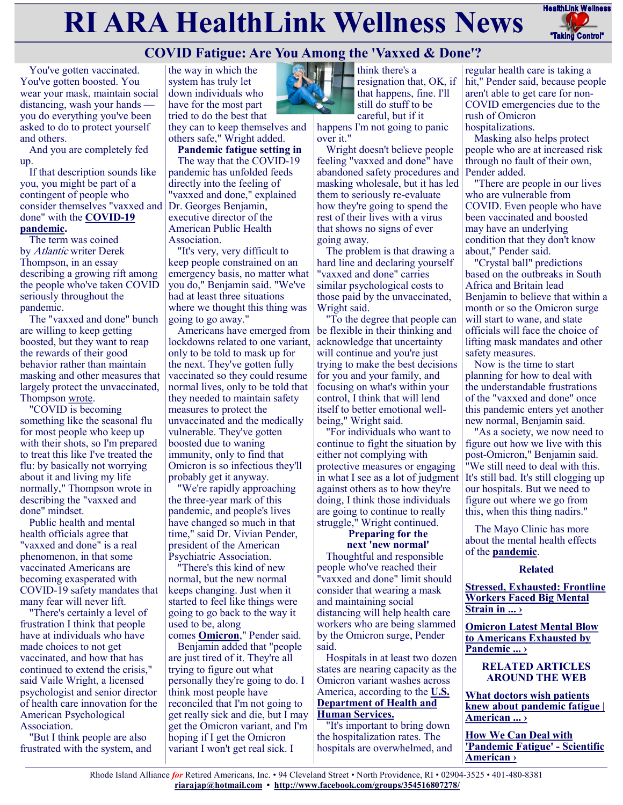# **RI ARA HealthLink Wellness News** FreathLink Wellness



# **COVID Fatigue: Are You Among the 'Vaxxed & Done'?**

You've gotten vaccinated. You've gotten boosted. You wear your mask, maintain social distancing, wash your hands you do everything you've been asked to do to protect yourself and others.

And you are completely fed up.

If that description sounds like you, you might be part of a contingent of people who consider themselves "vaxxed and done" with the **[COVID](https://www.cdc.gov/coronavirus/2019-ncov/index.html)-19 [pandemic.](https://www.cdc.gov/coronavirus/2019-ncov/index.html)**

The term was coined by Atlantic writer Derek Thompson, in an essay describing a growing rift among the people who've taken COVID seriously throughout the pandemic.

The "vaxxed and done" bunch are willing to keep getting boosted, but they want to reap the rewards of their good behavior rather than maintain masking and other measures that largely protect the unvaccinated, Thompson [wrote.](https://www.theatlantic.com/ideas/archive/2022/01/covid-omicron-vaccination-rashomon/621199/)

"COVID is becoming something like the seasonal flu for most people who keep up with their shots, so I'm prepared to treat this like I've treated the flu: by basically not worrying about it and living my life normally," Thompson wrote in describing the "vaxxed and done" mindset.

Public health and mental health officials agree that "vaxxed and done" is a real phenomenon, in that some vaccinated Americans are becoming exasperated with COVID-19 safety mandates that many fear will never lift.

"There's certainly a level of frustration I think that people have at individuals who have made choices to not get vaccinated, and how that has continued to extend the crisis," said Vaile Wright, a licensed psychologist and senior director of health care innovation for the American Psychological Association.

"But I think people are also frustrated with the system, and the way in which the system has truly let down individuals who have for the most part tried to do the best that

they can to keep themselves and others safe," Wright added.

**Pandemic fatigue setting in** The way that the COVID-19 pandemic has unfolded feeds directly into the feeling of "vaxxed and done," explained Dr. Georges Benjamin, executive director of the American Public Health Association.

"It's very, very difficult to keep people constrained on an emergency basis, no matter what you do," Benjamin said. "We've had at least three situations where we thought this thing was going to go away."

Americans have emerged from lockdowns related to one variant, only to be told to mask up for the next. They've gotten fully vaccinated so they could resume normal lives, only to be told that they needed to maintain safety measures to protect the unvaccinated and the medically vulnerable. They've gotten boosted due to waning immunity, only to find that Omicron is so infectious they'll probably get it anyway.

"We're rapidly approaching the three-year mark of this pandemic, and people's lives have changed so much in that time," said Dr. Vivian Pender, president of the American Psychiatric Association.

"There's this kind of new normal, but the new normal keeps changing. Just when it started to feel like things were going to go back to the way it used to be, along

comes **[Omicron](https://www.cdc.gov/coronavirus/2019-ncov/variants/omicron-variant.html)**," Pender said. Benjamin added that "people are just tired of it. They're all trying to figure out what personally they're going to do. I think most people have reconciled that I'm not going to get really sick and die, but I may get the Omicron variant, and I'm hoping if I get the Omicron variant I won't get real sick. I



think there's a resignation that, OK, if that happens, fine. I'll still do stuff to be careful, but if it

happens I'm not going to panic over it."

Wright doesn't believe people feeling "vaxxed and done" have abandoned safety procedures and masking wholesale, but it has led them to seriously re-evaluate how they're going to spend the rest of their lives with a virus that shows no signs of ever going away.

The problem is that drawing a hard line and declaring yourself "vaxxed and done" carries similar psychological costs to those paid by the unvaccinated, Wright said.

"To the degree that people can be flexible in their thinking and acknowledge that uncertainty will continue and you're just trying to make the best decisions for you and your family, and focusing on what's within your control, I think that will lend itself to better emotional wellbeing," Wright said.

"For individuals who want to continue to fight the situation by either not complying with protective measures or engaging in what I see as a lot of judgment against others as to how they're doing, I think those individuals are going to continue to really struggle," Wright continued.

#### **Preparing for the next 'new normal'**

Thoughtful and responsible people who've reached their "vaxxed and done" limit should consider that wearing a mask and maintaining social distancing will help health care workers who are being slammed by the Omicron surge, Pender said.

Hospitals in at least two dozen states are nearing capacity as the Omicron variant washes across America, according to the **[U.S.](https://protect-public.hhs.gov/pages/hospital-utilization)  [Department of Health and](https://protect-public.hhs.gov/pages/hospital-utilization)  [Human Services.](https://protect-public.hhs.gov/pages/hospital-utilization)**

"It's important to bring down the hospitalization rates. The hospitals are overwhelmed, and regular health care is taking a hit," Pender said, because people aren't able to get care for non-COVID emergencies due to the rush of Omicron hospitalizations.

Masking also helps protect people who are at increased risk through no fault of their own, Pender added.

"There are people in our lives who are vulnerable from COVID. Even people who have been vaccinated and boosted may have an underlying condition that they don't know about," Pender said.

"Crystal ball" predictions based on the outbreaks in South Africa and Britain lead Benjamin to believe that within a month or so the Omicron surge will start to wane, and state officials will face the choice of lifting mask mandates and other safety measures.

Now is the time to start planning for how to deal with the understandable frustrations of the "vaxxed and done" once this pandemic enters yet another new normal, Benjamin said.

"As a society, we now need to figure out how we live with this post-Omicron," Benjamin said. "We still need to deal with this. It's still bad. It's still clogging up our hospitals. But we need to figure out where we go from this, when this thing nadirs."

The Mayo Clinic has more about the mental health effects of the **[pandemic](https://newsnetwork.mayoclinic.org/discussion/mayo-clinic-qa-podcast-mental-health-toll-of-ongoing-covid-19-pandemic/)**.

### **Related**

**[Stressed, Exhausted: Frontline](https://consumer.healthday.com/b-4-9-stressed-exhausted-frontline-workers-faced-big-mental-strain-in-pandemic-2651381584.html)  [Workers Faced Big Mental](https://consumer.healthday.com/b-4-9-stressed-exhausted-frontline-workers-faced-big-mental-strain-in-pandemic-2651381584.html)  [Strain in ... ›](https://consumer.healthday.com/b-4-9-stressed-exhausted-frontline-workers-faced-big-mental-strain-in-pandemic-2651381584.html)**

**[Omicron Latest Mental Blow](https://consumer.healthday.com/12-3-omicron-is-latest-mental-blow-to-americans-exhausted-by-pandemic-2655888219.html)  [to Americans Exhausted by](https://consumer.healthday.com/12-3-omicron-is-latest-mental-blow-to-americans-exhausted-by-pandemic-2655888219.html)  [Pandemic ... ›](https://consumer.healthday.com/12-3-omicron-is-latest-mental-blow-to-americans-exhausted-by-pandemic-2655888219.html)**

> **RELATED ARTICLES AROUND THE WEB**

**[What doctors wish patients](https://www.ama-assn.org/delivering-care/public-health/what-doctors-wish-patients-knew-about-pandemic-fatigue)  [knew about pandemic fatigue |](https://www.ama-assn.org/delivering-care/public-health/what-doctors-wish-patients-knew-about-pandemic-fatigue)  [American ... ›](https://www.ama-assn.org/delivering-care/public-health/what-doctors-wish-patients-knew-about-pandemic-fatigue)**

**[How We Can Deal with](https://www.scientificamerican.com/article/how-we-can-deal-with-pandemic-fatigue/)  ['Pandemic Fatigue'](https://www.scientificamerican.com/article/how-we-can-deal-with-pandemic-fatigue/) - Scientific [American ›](https://www.scientificamerican.com/article/how-we-can-deal-with-pandemic-fatigue/)**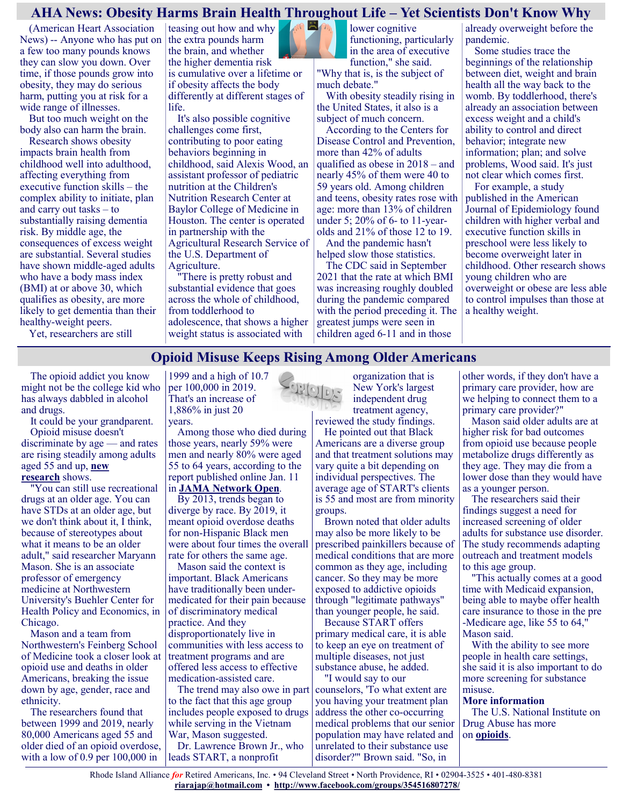## **AHA News: Obesity Harms Brain Health Throughout Life – Yet Scientists Don't Know Why**

(American Heart Association News) -- Anyone who has put on a few too many pounds knows they can slow you down. Over time, if those pounds grow into obesity, they may do serious harm, putting you at risk for a wide range of illnesses.

But too much weight on the body also can harm the brain.

Research shows obesity impacts brain health from childhood well into adulthood, affecting everything from executive function skills – the complex ability to initiate, plan and carry out tasks – to substantially raising dementia risk. By middle age, the consequences of excess weight are substantial. Several studies have shown middle-aged adults who have a body mass index (BMI) at or above 30, which qualifies as obesity, are more likely to get dementia than their healthy-weight peers.

Yet, researchers are still

 $m \equiv m$ teasing out how and why the extra pounds harm the brain, and whether the higher dementia risk is cumulative over a lifetime or if obesity affects the body differently at different stages of life.

It's also possible cognitive challenges come first, contributing to poor eating behaviors beginning in childhood, said Alexis Wood, an assistant professor of pediatric nutrition at the Children's Nutrition Research Center at Baylor College of Medicine in Houston. The center is operated in partnership with the Agricultural Research Service of the U.S. Department of Agriculture.

"There is pretty robust and substantial evidence that goes across the whole of childhood, from toddlerhood to adolescence, that shows a higher weight status is associated with

lower cognitive functioning, particularly in the area of executive function," she said. "Why that is, is the subject of

much debate." With obesity steadily rising in the United States, it also is a subject of much concern.

According to the Centers for Disease Control and Prevention, more than 42% of adults qualified as obese in 2018 – and nearly 45% of them were 40 to 59 years old. Among children and teens, obesity rates rose with age: more than 13% of children under 5; 20% of 6- to 11-yearolds and 21% of those 12 to 19.

And the pandemic hasn't helped slow those statistics.

The CDC said in September 2021 that the rate at which BMI was increasing roughly doubled during the pandemic compared with the period preceding it. The greatest jumps were seen in children aged 6-11 and in those

already overweight before the pandemic.

Some studies trace the beginnings of the relationship between diet, weight and brain health all the way back to the womb. By toddlerhood, there's already an association between excess weight and a child's ability to control and direct behavior; integrate new information; plan; and solve problems, Wood said. It's just not clear which comes first.

For example, a study published in the American Journal of Epidemiology found children with higher verbal and executive function skills in preschool were less likely to become overweight later in childhood. Other research shows young children who are overweight or obese are less able to control impulses than those at a healthy weight.

## **Opioid Misuse Keeps Rising Among Older Americans**

The opioid addict you know might not be the college kid who has always dabbled in alcohol and drugs.

It could be your grandparent. Opioid misuse doesn't

discriminate by age — and rates are rising steadily among adults aged 55 and up, **[new](https://jamanetwork.com/journals/jamanetworkopen/fullarticle/2787930)  [research](https://jamanetwork.com/journals/jamanetworkopen/fullarticle/2787930)** shows.

"You can still use recreational drugs at an older age. You can have STDs at an older age, but we don't think about it, I think, because of stereotypes about what it means to be an older adult," said researcher Maryann Mason. She is an associate professor of emergency medicine at Northwestern University's Buehler Center for Health Policy and Economics, in Chicago.

Mason and a team from Northwestern's Feinberg School of Medicine took a closer look at opioid use and deaths in older Americans, breaking the issue down by age, gender, race and ethnicity.

The researchers found that between 1999 and 2019, nearly 80,000 Americans aged 55 and older died of an opioid overdose, with a low of 0.9 per 100,000 in

1999 and a high of 10.7 per 100,000 in 2019. That's an increase of 1,886% in just 20 years.

Among those who died during those years, nearly 59% were men and nearly 80% were aged 55 to 64 years, according to the report published online Jan. 11 in **[JAMA Network Open](https://jamanetwork.com/journals/jamanetworkopen/fullarticle/2787930)**.

By 2013, trends began to diverge by race. By 2019, it meant opioid overdose deaths for non-Hispanic Black men were about four times the overall rate for others the same age.

Mason said the context is important. Black Americans have traditionally been undermedicated for their pain because of discriminatory medical practice. And they disproportionately live in communities with less access to treatment programs and are offered less access to effective medication-assisted care.

The trend may also owe in part to the fact that this age group includes people exposed to drugs while serving in the Vietnam War, Mason suggested. Dr. Lawrence Brown Jr., who

leads START, a nonprofit

organization that is New York's largest independent drug treatment agency, reviewed the study findings.

He pointed out that Black Americans are a diverse group and that treatment solutions may vary quite a bit depending on individual perspectives. The average age of START's clients is 55 and most are from minority groups.

Brown noted that older adults may also be more likely to be prescribed painkillers because of medical conditions that are more common as they age, including cancer. So they may be more exposed to addictive opioids through "legitimate pathways" than younger people, he said. Because START offers

primary medical care, it is able to keep an eye on treatment of multiple diseases, not just substance abuse, he added.

"I would say to our counselors, 'To what extent are you having your treatment plan address the other co-occurring medical problems that our senior population may have related and unrelated to their substance use disorder?'" Brown said. "So, in

other words, if they don't have a primary care provider, how are we helping to connect them to a primary care provider?"

Mason said older adults are at higher risk for bad outcomes from opioid use because people metabolize drugs differently as they age. They may die from a lower dose than they would have as a younger person.

The researchers said their findings suggest a need for increased screening of older adults for substance use disorder. The study recommends adapting outreach and treatment models to this age group.

"This actually comes at a good time with Medicaid expansion, being able to maybe offer health care insurance to those in the pre -Medicare age, like 55 to 64," Mason said.

With the ability to see more people in health care settings, she said it is also important to do more screening for substance misuse.

#### **More information**

The U.S. National Institute on Drug Abuse has more on **[opioids](https://www.drugabuse.gov/drug-topics/opioids)**.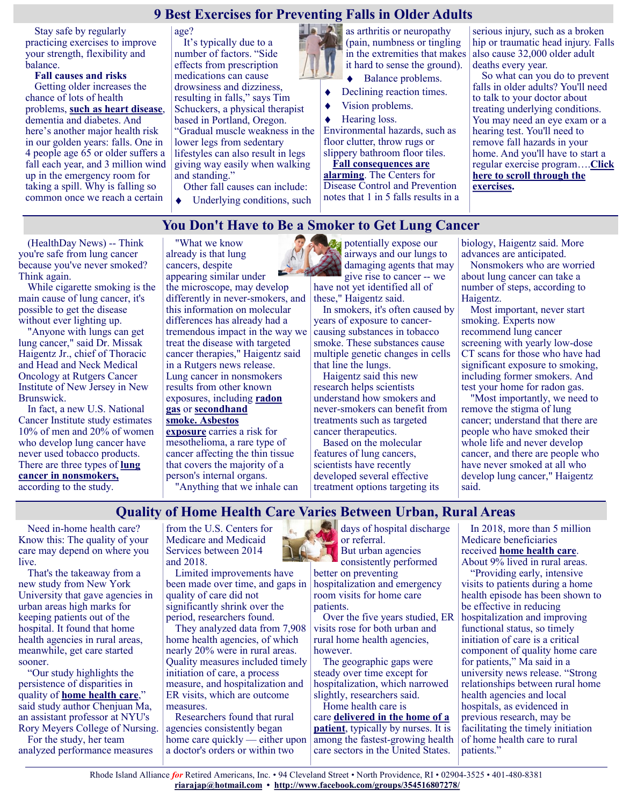## **9 Best Exercises for Preventing Falls in Older Adults**

Stay safe by regularly practicing exercises to improve your strength, flexibility and balance.

**Fall causes and risks** Getting older increases the chance of lots of health problems, **[such as heart disease](https://health.usnews.com/conditions/heart-disease)**, dementia and diabetes. And here's another major health risk in our golden years: falls. One in 4 people age 65 or older suffers a fall each year, and 3 million wind up in the emergency room for taking a spill. Why is falling so common once we reach a certain

age?

It's typically due to a number of factors. "Side effects from prescription medications can cause drowsiness and dizziness, resulting in falls," says Tim Schuckers, a physical therapist based in Portland, Oregon. "Gradual muscle weakness in the lower legs from sedentary lifestyles can also result in legs giving way easily when walking and standing."

Other fall causes can include:

Underlying conditions, such

as arthritis or neuropathy (pain, numbness or tingling in the extremities that makes it hard to sense the ground).

- Balance problems.
- Declining reaction times.  $\blacklozenge$
- Vision problems.
- Hearing loss.

Environmental hazards, such as floor clutter, throw rugs or slippery bathroom floor tiles[.](https://health.usnews.com/health-care/patient-advice/articles/2018-06-08/consider-an-in-patient-rehab-facility-before-you-suffer-a-fall)

**[Fall consequences are](https://health.usnews.com/health-care/patient-advice/articles/2018-06-08/consider-an-in-patient-rehab-facility-before-you-suffer-a-fall)  [alarming](https://health.usnews.com/health-care/patient-advice/articles/2018-06-08/consider-an-in-patient-rehab-facility-before-you-suffer-a-fall)**. The Centers for

Disease Control and Prevention notes that 1 in 5 falls results in a

serious injury, such as a broken hip or traumatic head injury. Falls also cause 32,000 older adult deaths every year.

So what can you do to prevent falls in older adults? You'll need to talk to your doctor about treating underlying conditions. You may need an eye exam or a hearing test. You'll need to remove fall hazards in your home. And you'll have to start a regular exercise program….**[Click](https://health.usnews.com/wellness/slideshows/best-exercises-for-preventing-falls-in-older-adults)  [here to scroll through the](https://health.usnews.com/wellness/slideshows/best-exercises-for-preventing-falls-in-older-adults)  [exercises.](https://health.usnews.com/wellness/slideshows/best-exercises-for-preventing-falls-in-older-adults)**

## **You Don't Have to Be a Smoker to Get Lung Cancer**

(HealthDay News) -- Think you're safe from lung cancer because you've never smoked? Think again.

While cigarette smoking is the main cause of lung cancer, it's possible to get the disease without ever lighting up.

"Anyone with lungs can get lung cancer," said Dr. Missak Haigentz Jr., chief of Thoracic and Head and Neck Medical Oncology at Rutgers Cancer Institute of New Jersey in New Brunswick.

In fact, a new U.S. National Cancer Institute study estimates 10% of men and 20% of women who develop lung cancer have never used tobacco products. There are three types of **[lung](https://www.cdc.gov/cancer/lung/nonsmokers/index.htm#:~:text=In%20the%20United%20States%2C%20about,2%2C900%20of%20these%20lung%20cancers.)  [cancer in nonsmokers,](https://www.cdc.gov/cancer/lung/nonsmokers/index.htm#:~:text=In%20the%20United%20States%2C%20about,2%2C900%20of%20these%20lung%20cancers.)** according to the study.

"What we know already is that lung cancers, despite appearing similar under

the microscope, may develop differently in never-smokers, and this information on molecular differences has already had a tremendous impact in the way we treat the disease with targeted cancer therapies," Haigentz said in a Rutgers news release. Lung cancer in nonsmokers results from other known exposures, including **[radon](https://www.cancer.org/cancer/cancer-causes/radiation-exposure/radon.html)  [gas](https://www.cancer.org/cancer/cancer-causes/radiation-exposure/radon.html)** or **[secondhand](https://www.cdc.gov/tobacco/data_statistics/fact_sheets/secondhand_smoke/health_effects/)** 

**[smoke.](https://www.cdc.gov/tobacco/data_statistics/fact_sheets/secondhand_smoke/health_effects/) [Asbestos](https://www.nhlbi.nih.gov/health-topics/asbestos-related-lung-diseases)  [exposure](https://www.nhlbi.nih.gov/health-topics/asbestos-related-lung-diseases)** carries a risk for mesothelioma, a rare type of cancer affecting the thin tissue that covers the majority of a person's internal organs. "Anything that we inhale can

**By** potentially expose our airways and our lungs to damaging agents that may give rise to cancer -- we have not yet identified all of

these," Haigentz said. In smokers, it's often caused by years of exposure to cancercausing substances in tobacco smoke. These substances cause

multiple genetic changes in cells that line the lungs. Haigentz said this new research helps scientists

understand how smokers and never-smokers can benefit from treatments such as targeted cancer therapeutics.

Based on the molecular features of lung cancers, scientists have recently developed several effective treatment options targeting its biology, Haigentz said. More advances are anticipated.

Nonsmokers who are worried about lung cancer can take a number of steps, according to Haigentz.

Most important, never start smoking. Experts now recommend lung cancer screening with yearly low-dose CT scans for those who have had significant exposure to smoking, including former smokers. And test your home for radon gas.

"Most importantly, we need to remove the stigma of lung cancer; understand that there are people who have smoked their whole life and never develop cancer, and there are people who have never smoked at all who develop lung cancer," Haigentz said.

# **Quality of Home Health Care Varies Between Urban, Rural Areas**

Need in-home health care? Know this: The quality of your care may depend on where you live.

That's the takeaway from a new study from New York University that gave agencies in urban areas high marks for keeping patients out of the hospital. It found that home health agencies in rural areas, meanwhile, get care started sooner.

"Our study highlights the persistence of disparities in quality of **[home health care](https://www.mayoclinic.org/healthy-lifestyle/healthy-aging/in-depth/home-care-services/art-20044609?p=1)**," said study author Chenjuan Ma, an assistant professor at NYU's Rory Meyers College of Nursing.

For the study, her team analyzed performance measures from the U.S. Centers for Medicare and Medicaid Services between 2014 and 2018.

Limited improvements have been made over time, and gaps in quality of care did not significantly shrink over the period, researchers found.

They analyzed data from 7,908 home health agencies, of which nearly 20% were in rural areas. Quality measures included timely initiation of care, a process measure, and hospitalization and ER visits, which are outcome measures.

Researchers found that rural agencies consistently began home care quickly — either upon a doctor's orders or within two

days of hospital discharge or referral. But urban agencies

consistently performed better on preventing hospitalization and emergency

room visits for home care patients. Over the five years studied, ER visits rose for both urban and rural home health agencies,

however. The geographic gaps were steady over time except for hospitalization, which narrowed

slightly, researchers said. Home health care is care **[delivered in the home of a](https://eldercare.acl.gov/Public/Index.aspx)** 

**[patient](https://eldercare.acl.gov/Public/Index.aspx)**, typically by nurses. It is among the fastest-growing health care sectors in the United States.

In 2018, more than 5 million Medicare beneficiaries received **[home health care](https://www.healthinaging.org/age-friendly-healthcare-you/care-settings/home-care)**. About 9% lived in rural areas.

"Providing early, intensive visits to patients during a home health episode has been shown to be effective in reducing hospitalization and improving functional status, so timely initiation of care is a critical component of quality home care for patients," Ma said in a university news release. "Strong relationships between rural home health agencies and local hospitals, as evidenced in previous research, may be facilitating the timely initiation of home health care to rural patients."